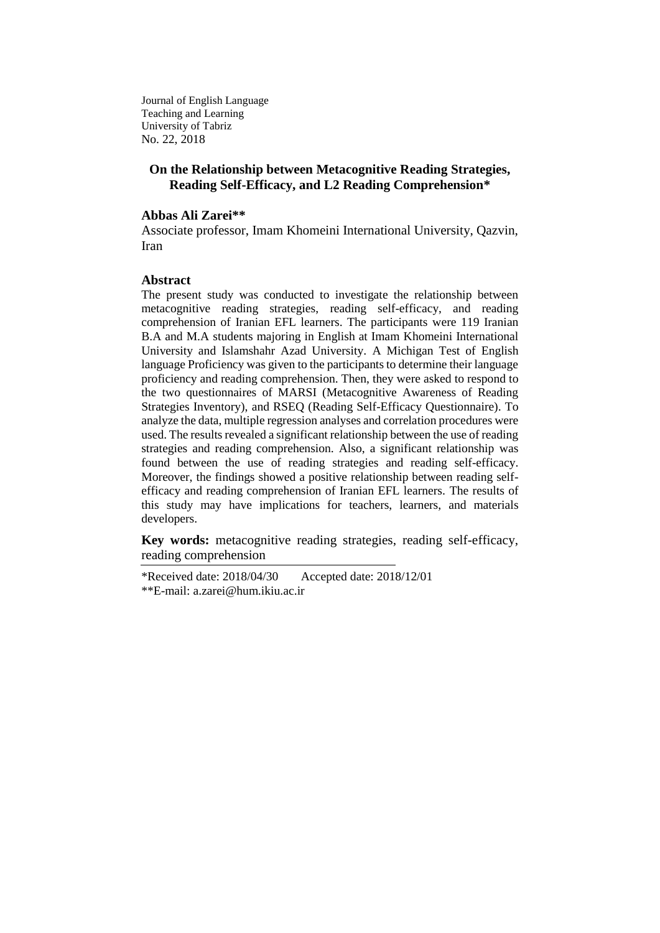Journal of English Language Teaching and Learning University of Tabriz No. 22, 2018

# **On the Relationship between Metacognitive Reading Strategies, Reading Self-Efficacy, and L2 Reading Comprehension\***

### **Abbas Ali Zarei\*\***

Associate professor, Imam Khomeini International University, Qazvin, Iran

### **Abstract**

The present study was conducted to investigate the relationship between metacognitive reading strategies, reading self-efficacy, and reading comprehension of Iranian EFL learners. The participants were 119 Iranian B.A and M.A students majoring in English at Imam Khomeini International University and Islamshahr Azad University. A Michigan Test of English language Proficiency was given to the participants to determine their language proficiency and reading comprehension. Then, they were asked to respond to the two questionnaires of MARSI (Metacognitive Awareness of Reading Strategies Inventory), and RSEQ (Reading Self-Efficacy Questionnaire). To analyze the data, multiple regression analyses and correlation procedures were used. The results revealed a significant relationship between the use of reading strategies and reading comprehension. Also, a significant relationship was found between the use of reading strategies and reading self-efficacy. Moreover, the findings showed a positive relationship between reading selfefficacy and reading comprehension of Iranian EFL learners. The results of this study may have implications for teachers, learners, and materials developers.

**Key words:** metacognitive reading strategies, reading self-efficacy, reading comprehension

\*Received date: 2018/04/30 Accepted date: 2018/12/01 \*\*E-mail: [a.zarei@hum.ikiu.ac.ir](mailto:aazarei@ikiu.ac.ir)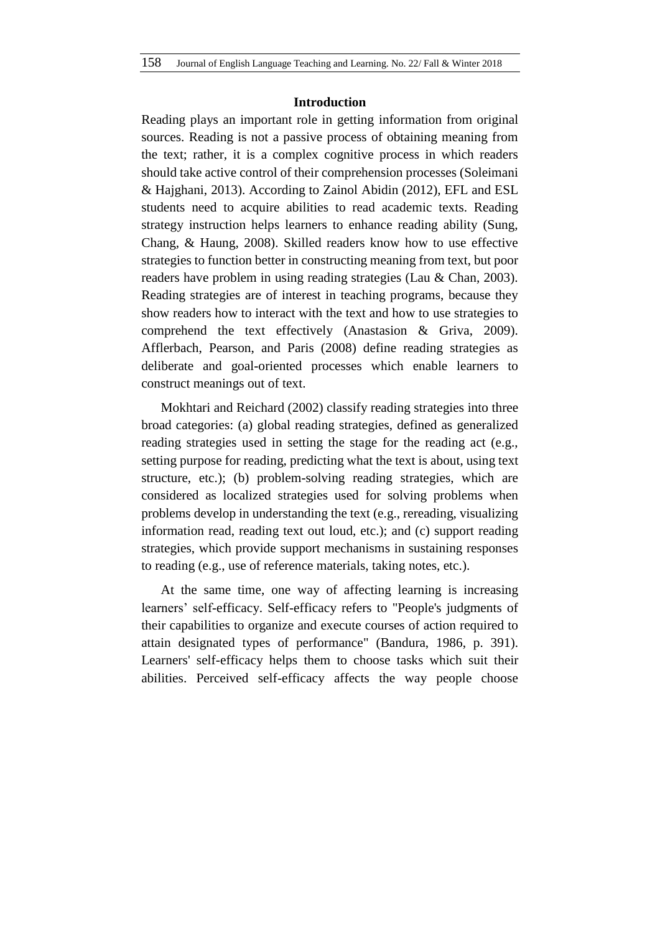### **Introduction**

Reading plays an important role in getting information from original sources. Reading is not a passive process of obtaining meaning from the text; rather, it is a complex cognitive process in which readers should take active control of their comprehension processes (Soleimani & Hajghani, 2013). According to Zainol Abidin (2012), EFL and ESL students need to acquire abilities to read academic texts. Reading strategy instruction helps learners to enhance reading ability (Sung, Chang, & Haung, 2008). Skilled readers know how to use effective strategies to function better in constructing meaning from text, but poor readers have problem in using reading strategies (Lau & Chan, 2003). Reading strategies are of interest in teaching programs, because they show readers how to interact with the text and how to use strategies to comprehend the text effectively (Anastasion & Griva, 2009). Afflerbach, Pearson, and Paris (2008) define reading strategies as deliberate and goal-oriented processes which enable learners to construct meanings out of text.

Mokhtari and Reichard (2002) classify reading strategies into three broad categories: (a) global reading strategies, defined as generalized reading strategies used in setting the stage for the reading act (e.g., setting purpose for reading, predicting what the text is about, using text structure, etc.); (b) problem-solving reading strategies, which are considered as localized strategies used for solving problems when problems develop in understanding the text (e.g., rereading, visualizing information read, reading text out loud, etc.); and (c) support reading strategies, which provide support mechanisms in sustaining responses to reading (e.g., use of reference materials, taking notes, etc.).

At the same time, one way of affecting learning is increasing learners' self-efficacy. Self-efficacy refers to "People's judgments of their capabilities to organize and execute courses of action required to attain designated types of performance" (Bandura, 1986, p. 391). Learners' self-efficacy helps them to choose tasks which suit their abilities. Perceived self-efficacy affects the way people choose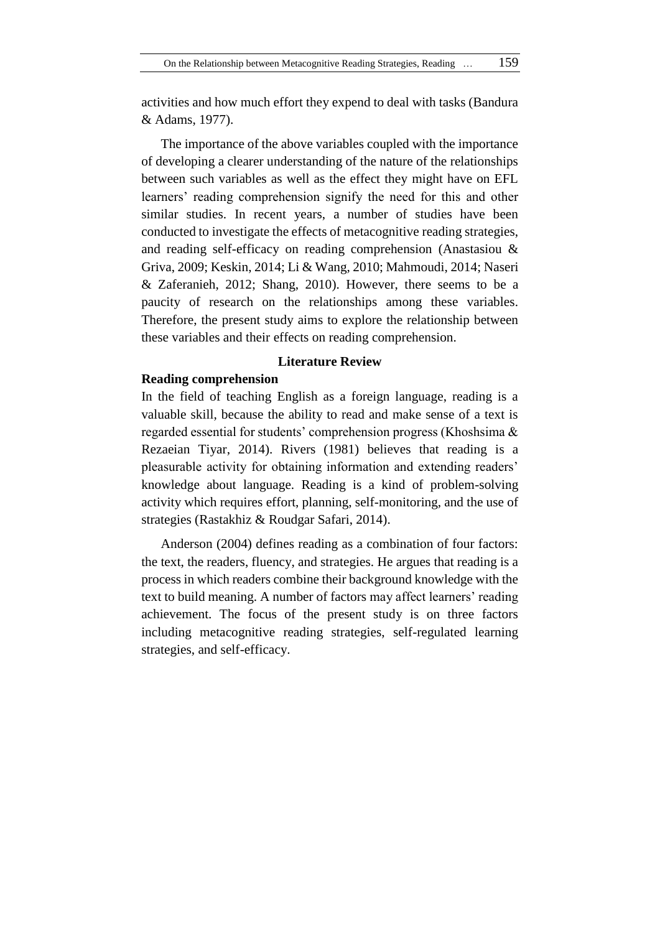activities and how much effort they expend to deal with tasks (Bandura & Adams, 1977).

The importance of the above variables coupled with the importance of developing a clearer understanding of the nature of the relationships between such variables as well as the effect they might have on EFL learners' reading comprehension signify the need for this and other similar studies. In recent years, a number of studies have been conducted to investigate the effects of metacognitive reading strategies, and reading self-efficacy on reading comprehension (Anastasiou & Griva, 2009; Keskin, 2014; Li & Wang, 2010; Mahmoudi, 2014; Naseri & Zaferanieh, 2012; Shang, 2010). However, there seems to be a paucity of research on the relationships among these variables. Therefore, the present study aims to explore the relationship between these variables and their effects on reading comprehension.

# **Literature Review**

### **Reading comprehension**

In the field of teaching English as a foreign language, reading is a valuable skill, because the ability to read and make sense of a text is regarded essential for students' comprehension progress (Khoshsima & Rezaeian Tiyar, 2014). Rivers (1981) believes that reading is a pleasurable activity for obtaining information and extending readers' knowledge about language. Reading is a kind of problem-solving activity which requires effort, planning, self-monitoring, and the use of strategies (Rastakhiz & Roudgar Safari, 2014).

Anderson (2004) defines reading as a combination of four factors: the text, the readers, fluency, and strategies. He argues that reading is a process in which readers combine their background knowledge with the text to build meaning. A number of factors may affect learners' reading achievement. The focus of the present study is on three factors including metacognitive reading strategies, self-regulated learning strategies, and self-efficacy.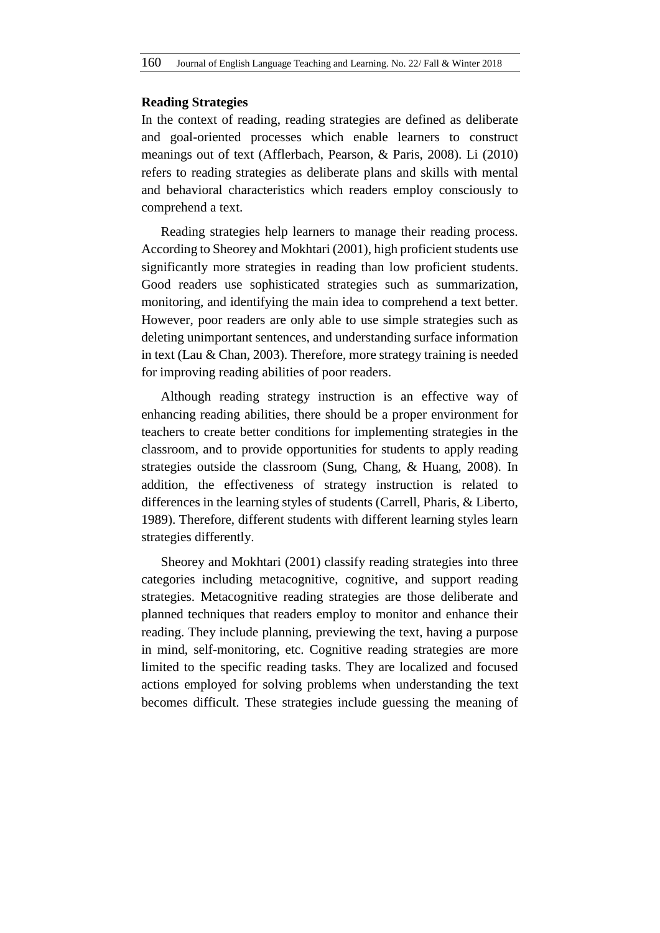### **Reading Strategies**

In the context of reading, reading strategies are defined as deliberate and goal-oriented processes which enable learners to construct meanings out of text (Afflerbach, Pearson, & Paris, 2008). Li (2010) refers to reading strategies as deliberate plans and skills with mental and behavioral characteristics which readers employ consciously to comprehend a text.

Reading strategies help learners to manage their reading process. According to Sheorey and Mokhtari (2001), high proficient students use significantly more strategies in reading than low proficient students. Good readers use sophisticated strategies such as summarization, monitoring, and identifying the main idea to comprehend a text better. However, poor readers are only able to use simple strategies such as deleting unimportant sentences, and understanding surface information in text (Lau & Chan, 2003). Therefore, more strategy training is needed for improving reading abilities of poor readers.

Although reading strategy instruction is an effective way of enhancing reading abilities, there should be a proper environment for teachers to create better conditions for implementing strategies in the classroom, and to provide opportunities for students to apply reading strategies outside the classroom (Sung, Chang, & Huang, 2008). In addition, the effectiveness of strategy instruction is related to differences in the learning styles of students (Carrell, Pharis, & Liberto, 1989). Therefore, different students with different learning styles learn strategies differently.

Sheorey and Mokhtari (2001) classify reading strategies into three categories including metacognitive, cognitive, and support reading strategies. Metacognitive reading strategies are those deliberate and planned techniques that readers employ to monitor and enhance their reading. They include planning, previewing the text, having a purpose in mind, self-monitoring, etc. Cognitive reading strategies are more limited to the specific reading tasks. They are localized and focused actions employed for solving problems when understanding the text becomes difficult. These strategies include guessing the meaning of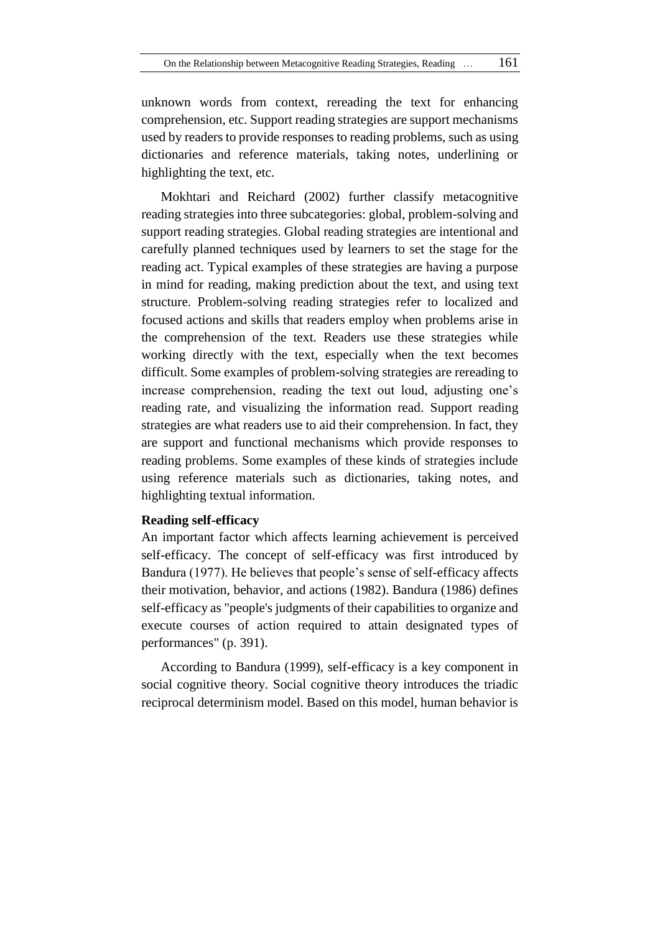unknown words from context, rereading the text for enhancing comprehension, etc. Support reading strategies are support mechanisms used by readers to provide responses to reading problems, such as using dictionaries and reference materials, taking notes, underlining or highlighting the text, etc.

Mokhtari and Reichard (2002) further classify metacognitive reading strategies into three subcategories: global, problem-solving and support reading strategies. Global reading strategies are intentional and carefully planned techniques used by learners to set the stage for the reading act. Typical examples of these strategies are having a purpose in mind for reading, making prediction about the text, and using text structure. Problem-solving reading strategies refer to localized and focused actions and skills that readers employ when problems arise in the comprehension of the text. Readers use these strategies while working directly with the text, especially when the text becomes difficult. Some examples of problem-solving strategies are rereading to increase comprehension, reading the text out loud, adjusting one's reading rate, and visualizing the information read. Support reading strategies are what readers use to aid their comprehension. In fact, they are support and functional mechanisms which provide responses to reading problems. Some examples of these kinds of strategies include using reference materials such as dictionaries, taking notes, and highlighting textual information.

### **Reading self-efficacy**

An important factor which affects learning achievement is perceived self-efficacy. The concept of self-efficacy was first introduced by Bandura (1977). He believes that people's sense of self-efficacy affects their motivation, behavior, and actions (1982). Bandura (1986) defines self-efficacy as "people's judgments of their capabilities to organize and execute courses of action required to attain designated types of performances" (p. 391).

According to Bandura (1999), self-efficacy is a key component in social cognitive theory. Social cognitive theory introduces the triadic reciprocal determinism model. Based on this model, human behavior is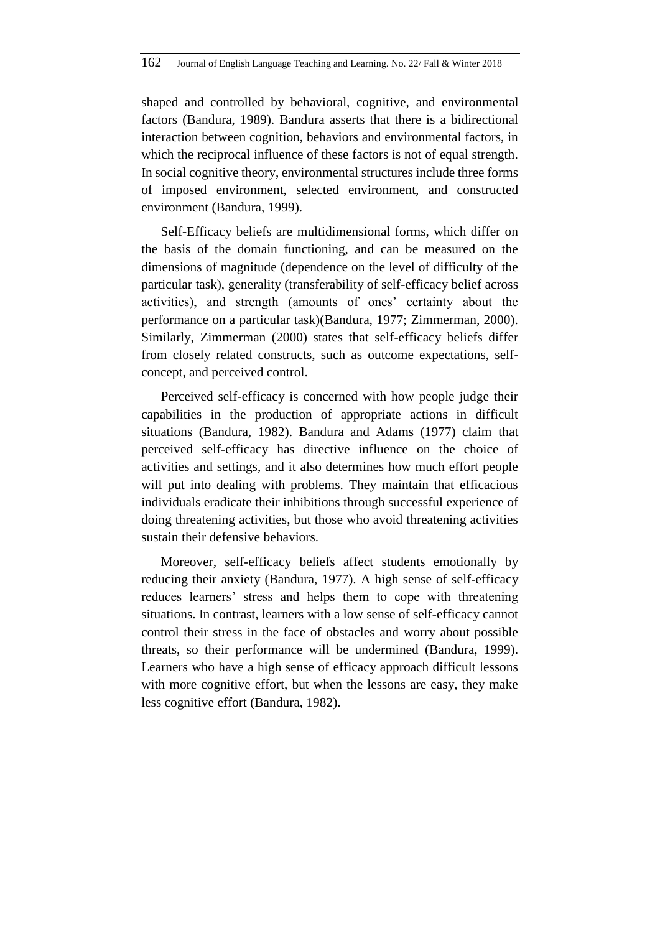shaped and controlled by behavioral, cognitive, and environmental factors (Bandura, 1989). Bandura asserts that there is a bidirectional interaction between cognition, behaviors and environmental factors, in which the reciprocal influence of these factors is not of equal strength. In social cognitive theory, environmental structures include three forms of imposed environment, selected environment, and constructed environment (Bandura, 1999).

Self-Efficacy beliefs are multidimensional forms, which differ on the basis of the domain functioning, and can be measured on the dimensions of magnitude (dependence on the level of difficulty of the particular task), generality (transferability of self-efficacy belief across activities), and strength (amounts of ones' certainty about the performance on a particular task)(Bandura, 1977; Zimmerman, 2000). Similarly, Zimmerman (2000) states that self-efficacy beliefs differ from closely related constructs, such as outcome expectations, selfconcept, and perceived control.

Perceived self-efficacy is concerned with how people judge their capabilities in the production of appropriate actions in difficult situations (Bandura, 1982). Bandura and Adams (1977) claim that perceived self-efficacy has directive influence on the choice of activities and settings, and it also determines how much effort people will put into dealing with problems. They maintain that efficacious individuals eradicate their inhibitions through successful experience of doing threatening activities, but those who avoid threatening activities sustain their defensive behaviors.

Moreover, self-efficacy beliefs affect students emotionally by reducing their anxiety (Bandura, 1977). A high sense of self-efficacy reduces learners' stress and helps them to cope with threatening situations. In contrast, learners with a low sense of self-efficacy cannot control their stress in the face of obstacles and worry about possible threats, so their performance will be undermined (Bandura, 1999). Learners who have a high sense of efficacy approach difficult lessons with more cognitive effort, but when the lessons are easy, they make less cognitive effort (Bandura, 1982).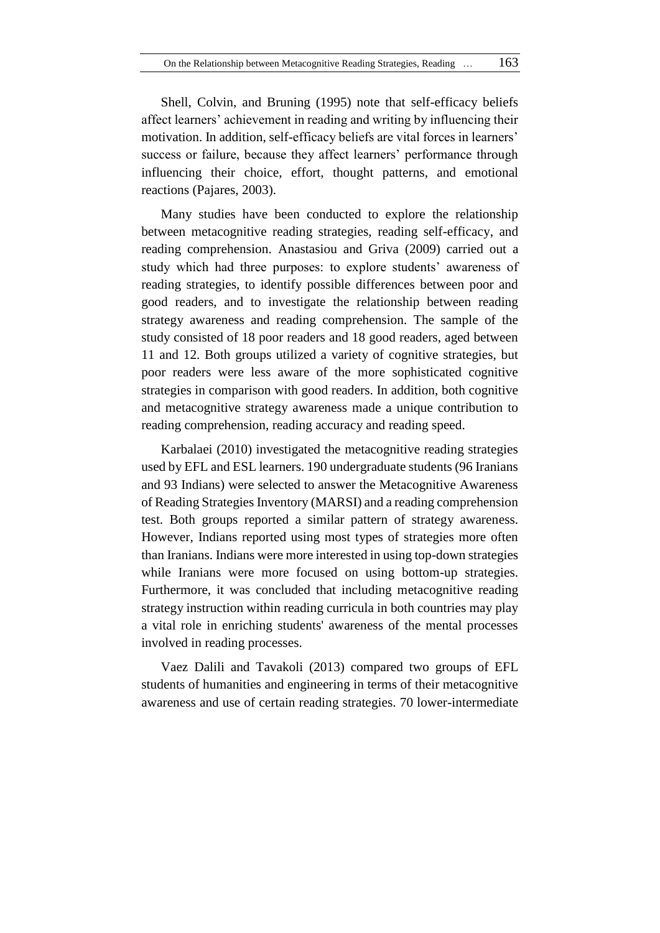Shell, Colvin, and Bruning (1995) note that self-efficacy beliefs affect learners' achievement in reading and writing by influencing their motivation. In addition, self-efficacy beliefs are vital forces in learners' success or failure, because they affect learners' performance through influencing their choice, effort, thought patterns, and emotional reactions (Pajares, 2003).

Many studies have been conducted to explore the relationship between metacognitive reading strategies, reading self-efficacy, and reading comprehension. Anastasiou and Griva (2009) carried out a study which had three purposes: to explore students' awareness of reading strategies, to identify possible differences between poor and good readers, and to investigate the relationship between reading strategy awareness and reading comprehension. The sample of the study consisted of 18 poor readers and 18 good readers, aged between 11 and 12. Both groups utilized a variety of cognitive strategies, but poor readers were less aware of the more sophisticated cognitive strategies in comparison with good readers. In addition, both cognitive and metacognitive strategy awareness made a unique contribution to reading comprehension, reading accuracy and reading speed.

Karbalaei (2010) investigated the metacognitive reading strategies used by EFL and ESL learners. 190 undergraduate students (96 Iranians and 93 Indians) were selected to answer the Metacognitive Awareness of Reading Strategies Inventory (MARSI) and a reading comprehension test. Both groups reported a similar pattern of strategy awareness. However, Indians reported using most types of strategies more often than Iranians. Indians were more interested in using top-down strategies while Iranians were more focused on using bottom-up strategies. Furthermore, it was concluded that including metacognitive reading strategy instruction within reading curricula in both countries may play a vital role in enriching students' awareness of the mental processes involved in reading processes.

Vaez Dalili and Tavakoli (2013) compared two groups of EFL students of humanities and engineering in terms of their metacognitive awareness and use of certain reading strategies. 70 lower-intermediate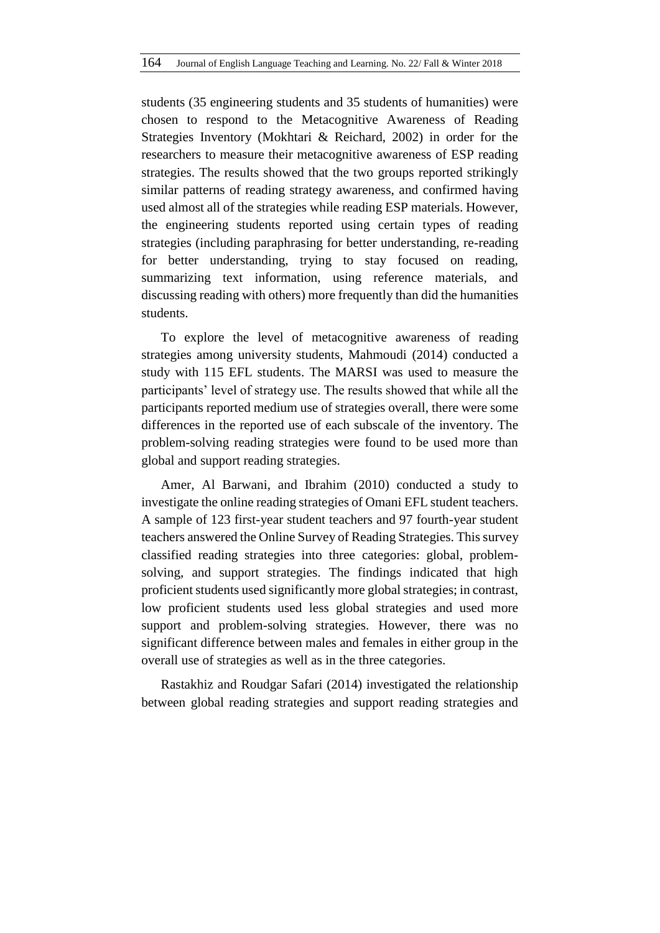students (35 engineering students and 35 students of humanities) were chosen to respond to the Metacognitive Awareness of Reading Strategies Inventory (Mokhtari & Reichard, 2002) in order for the researchers to measure their metacognitive awareness of ESP reading strategies. The results showed that the two groups reported strikingly similar patterns of reading strategy awareness, and confirmed having used almost all of the strategies while reading ESP materials. However, the engineering students reported using certain types of reading strategies (including paraphrasing for better understanding, re-reading for better understanding, trying to stay focused on reading, summarizing text information, using reference materials, and discussing reading with others) more frequently than did the humanities students.

To explore the level of metacognitive awareness of reading strategies among university students, Mahmoudi (2014) conducted a study with 115 EFL students. The MARSI was used to measure the participants' level of strategy use. The results showed that while all the participants reported medium use of strategies overall, there were some differences in the reported use of each subscale of the inventory. The problem-solving reading strategies were found to be used more than global and support reading strategies.

Amer, Al Barwani, and Ibrahim (2010) conducted a study to investigate the online reading strategies of Omani EFL student teachers. A sample of 123 first-year student teachers and 97 fourth-year student teachers answered the Online Survey of Reading Strategies. This survey classified reading strategies into three categories: global, problemsolving, and support strategies. The findings indicated that high proficient students used significantly more global strategies; in contrast, low proficient students used less global strategies and used more support and problem-solving strategies. However, there was no significant difference between males and females in either group in the overall use of strategies as well as in the three categories.

Rastakhiz and Roudgar Safari (2014) investigated the relationship between global reading strategies and support reading strategies and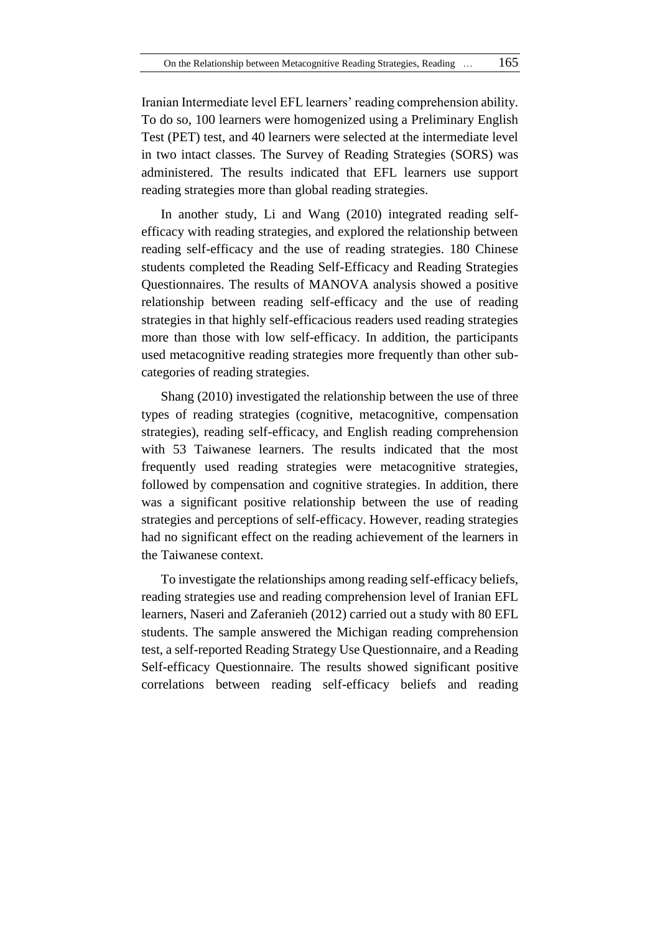Iranian Intermediate level EFL learners' reading comprehension ability. To do so, 100 learners were homogenized using a Preliminary English Test (PET) test, and 40 learners were selected at the intermediate level in two intact classes. The Survey of Reading Strategies (SORS) was administered. The results indicated that EFL learners use support reading strategies more than global reading strategies.

In another study, Li and Wang (2010) integrated reading selfefficacy with reading strategies, and explored the relationship between reading self-efficacy and the use of reading strategies. 180 Chinese students completed the Reading Self-Efficacy and Reading Strategies Questionnaires. The results of MANOVA analysis showed a positive relationship between reading self-efficacy and the use of reading strategies in that highly self-efficacious readers used reading strategies more than those with low self-efficacy. In addition, the participants used metacognitive reading strategies more frequently than other subcategories of reading strategies.

Shang (2010) investigated the relationship between the use of three types of reading strategies (cognitive, metacognitive, compensation strategies), reading self-efficacy, and English reading comprehension with 53 Taiwanese learners. The results indicated that the most frequently used reading strategies were metacognitive strategies, followed by compensation and cognitive strategies. In addition, there was a significant positive relationship between the use of reading strategies and perceptions of self-efficacy. However, reading strategies had no significant effect on the reading achievement of the learners in the Taiwanese context.

To investigate the relationships among reading self-efficacy beliefs, reading strategies use and reading comprehension level of Iranian EFL learners, Naseri and Zaferanieh (2012) carried out a study with 80 EFL students. The sample answered the Michigan reading comprehension test, a self-reported Reading Strategy Use Questionnaire, and a Reading Self-efficacy Questionnaire. The results showed significant positive correlations between reading self-efficacy beliefs and reading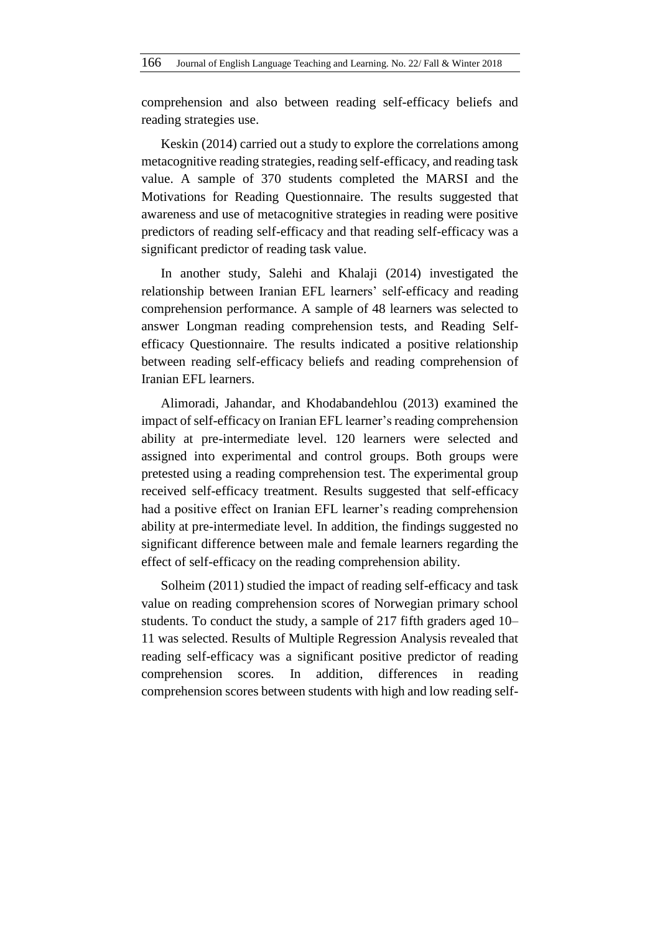comprehension and also between reading self-efficacy beliefs and reading strategies use.

Keskin (2014) carried out a study to explore the correlations among metacognitive reading strategies, reading self-efficacy, and reading task value. A sample of 370 students completed the MARSI and the Motivations for Reading Questionnaire. The results suggested that awareness and use of metacognitive strategies in reading were positive predictors of reading self-efficacy and that reading self-efficacy was a significant predictor of reading task value.

In another study, Salehi and Khalaji (2014) investigated the relationship between Iranian EFL learners' self-efficacy and reading comprehension performance. A sample of 48 learners was selected to answer Longman reading comprehension tests, and Reading Selfefficacy Questionnaire. The results indicated a positive relationship between reading self-efficacy beliefs and reading comprehension of Iranian EFL learners.

Alimoradi, Jahandar, and Khodabandehlou (2013) examined the impact of self-efficacy on Iranian EFL learner's reading comprehension ability at pre-intermediate level. 120 learners were selected and assigned into experimental and control groups. Both groups were pretested using a reading comprehension test. The experimental group received self-efficacy treatment. Results suggested that self-efficacy had a positive effect on Iranian EFL learner's reading comprehension ability at pre-intermediate level. In addition, the findings suggested no significant difference between male and female learners regarding the effect of self-efficacy on the reading comprehension ability.

Solheim (2011) studied the impact of reading self-efficacy and task value on reading comprehension scores of Norwegian primary school students. To conduct the study, a sample of 217 fifth graders aged 10– 11 was selected. Results of Multiple Regression Analysis revealed that reading self-efficacy was a significant positive predictor of reading comprehension scores*.* In addition, differences in reading comprehension scores between students with high and low reading self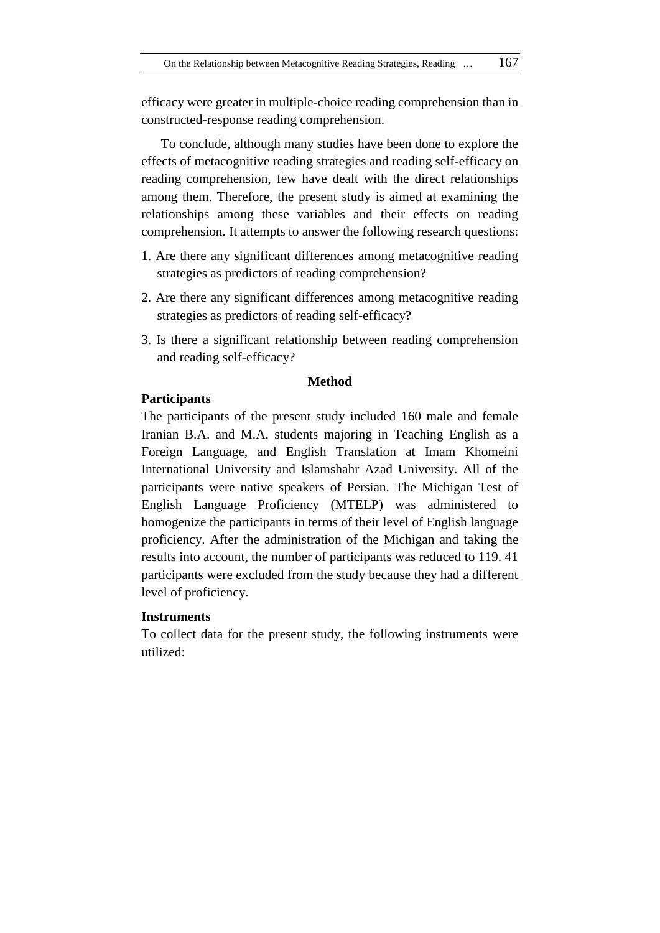efficacy were greater in multiple-choice reading comprehension than in constructed-response reading comprehension.

To conclude, although many studies have been done to explore the effects of metacognitive reading strategies and reading self-efficacy on reading comprehension, few have dealt with the direct relationships among them. Therefore, the present study is aimed at examining the relationships among these variables and their effects on reading comprehension. It attempts to answer the following research questions:

- 1. Are there any significant differences among metacognitive reading strategies as predictors of reading comprehension?
- 2. Are there any significant differences among metacognitive reading strategies as predictors of reading self-efficacy?
- 3. Is there a significant relationship between reading comprehension and reading self-efficacy?

### **Method**

## **Participants**

The participants of the present study included 160 male and female Iranian B.A. and M.A. students majoring in Teaching English as a Foreign Language, and English Translation at Imam Khomeini International University and Islamshahr Azad University. All of the participants were native speakers of Persian. The Michigan Test of English Language Proficiency (MTELP) was administered to homogenize the participants in terms of their level of English language proficiency. After the administration of the Michigan and taking the results into account, the number of participants was reduced to 119. 41 participants were excluded from the study because they had a different level of proficiency.

# **Instruments**

To collect data for the present study, the following instruments were utilized: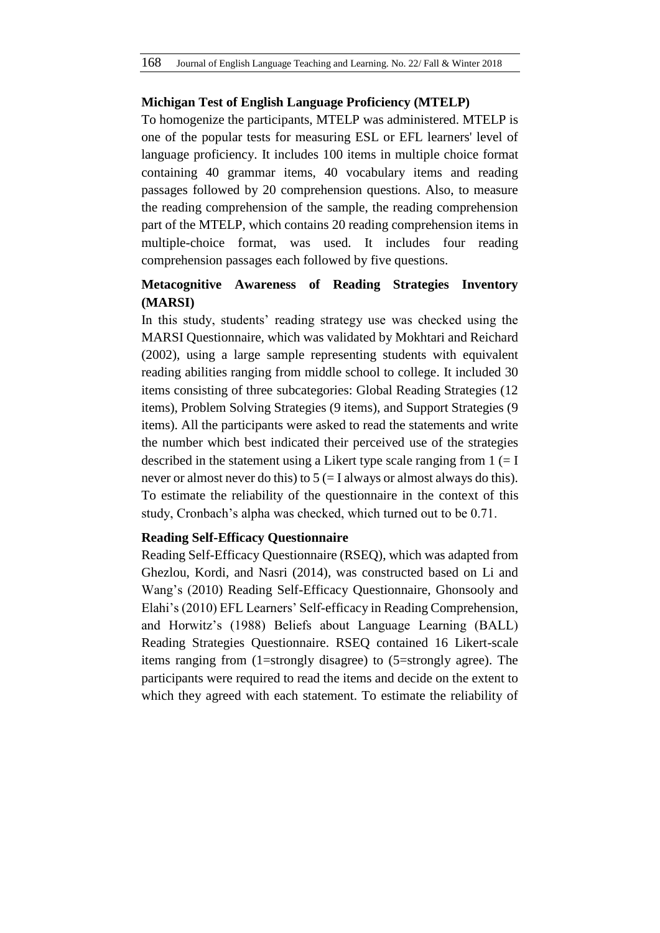### **Michigan Test of English Language Proficiency (MTELP)**

To homogenize the participants, MTELP was administered. MTELP is one of the popular tests for measuring ESL or EFL learners' level of language proficiency. It includes 100 items in multiple choice format containing 40 grammar items, 40 vocabulary items and reading passages followed by 20 comprehension questions. Also, to measure the reading comprehension of the sample, the reading comprehension part of the MTELP, which contains 20 reading comprehension items in multiple-choice format, was used. It includes four reading comprehension passages each followed by five questions.

# **Metacognitive Awareness of Reading Strategies Inventory (MARSI)**

In this study, students' reading strategy use was checked using the MARSI Questionnaire, which was validated by Mokhtari and Reichard (2002), using a large sample representing students with equivalent reading abilities ranging from middle school to college. It included 30 items consisting of three subcategories: Global Reading Strategies (12 items), Problem Solving Strategies (9 items), and Support Strategies (9 items). All the participants were asked to read the statements and write the number which best indicated their perceived use of the strategies described in the statement using a Likert type scale ranging from  $1 (= I$ never or almost never do this) to  $5 (= I$  always or almost always do this). To estimate the reliability of the questionnaire in the context of this study, Cronbach's alpha was checked, which turned out to be 0.71.

### **Reading Self-Efficacy Questionnaire**

Reading Self-Efficacy Questionnaire (RSEQ), which was adapted from Ghezlou, Kordi, and Nasri (2014), was constructed based on Li and Wang's (2010) Reading Self-Efficacy Questionnaire, Ghonsooly and Elahi's (2010) EFL Learners' Self-efficacy in Reading Comprehension, and Horwitz's (1988) Beliefs about Language Learning (BALL) Reading Strategies Questionnaire. RSEQ contained 16 Likert-scale items ranging from (1=strongly disagree) to (5=strongly agree). The participants were required to read the items and decide on the extent to which they agreed with each statement. To estimate the reliability of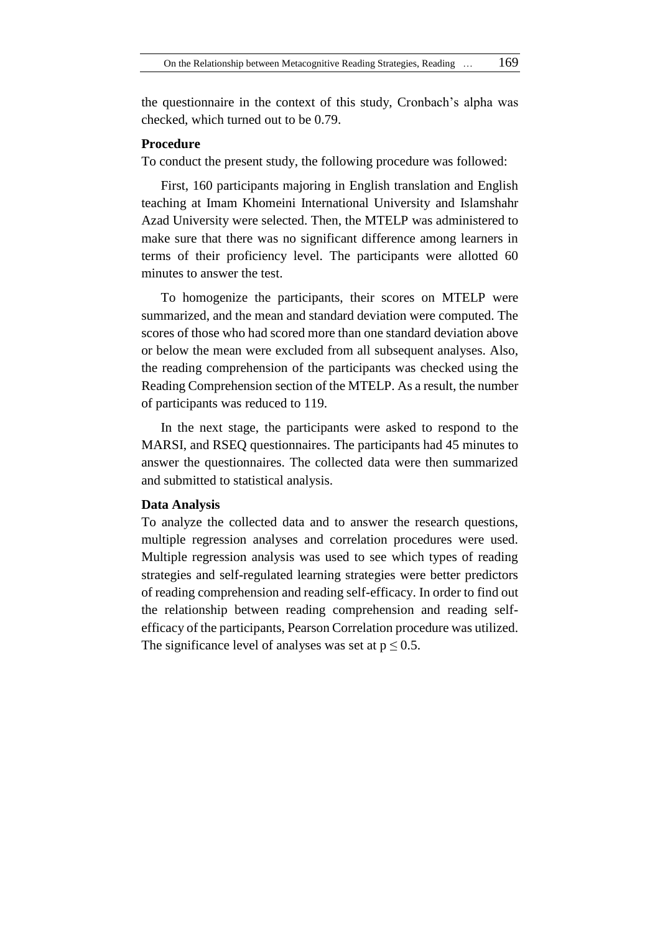the questionnaire in the context of this study, Cronbach's alpha was checked, which turned out to be 0.79.

### **Procedure**

To conduct the present study, the following procedure was followed:

First, 160 participants majoring in English translation and English teaching at Imam Khomeini International University and Islamshahr Azad University were selected. Then, the MTELP was administered to make sure that there was no significant difference among learners in terms of their proficiency level. The participants were allotted 60 minutes to answer the test.

To homogenize the participants, their scores on MTELP were summarized, and the mean and standard deviation were computed. The scores of those who had scored more than one standard deviation above or below the mean were excluded from all subsequent analyses. Also, the reading comprehension of the participants was checked using the Reading Comprehension section of the MTELP. As a result, the number of participants was reduced to 119.

In the next stage, the participants were asked to respond to the MARSI, and RSEQ questionnaires. The participants had 45 minutes to answer the questionnaires. The collected data were then summarized and submitted to statistical analysis.

### **Data Analysis**

To analyze the collected data and to answer the research questions, multiple regression analyses and correlation procedures were used. Multiple regression analysis was used to see which types of reading strategies and self-regulated learning strategies were better predictors of reading comprehension and reading self-efficacy. In order to find out the relationship between reading comprehension and reading selfefficacy of the participants, Pearson Correlation procedure was utilized. The significance level of analyses was set at  $p \le 0.5$ .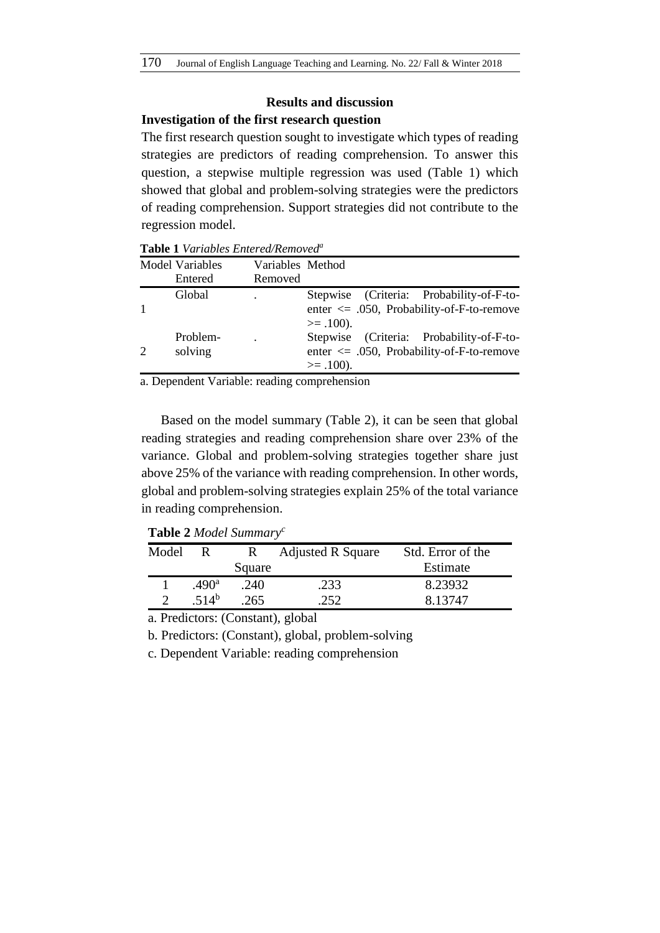# **Results and discussion**

### **Investigation of the first research question**

The first research question sought to investigate which types of reading strategies are predictors of reading comprehension. To answer this question, a stepwise multiple regression was used (Table 1) which showed that global and problem-solving strategies were the predictors of reading comprehension. Support strategies did not contribute to the regression model.

| <b>Model Variables</b><br>Entered | Variables Method<br>Removed |                                                                                                              |
|-----------------------------------|-----------------------------|--------------------------------------------------------------------------------------------------------------|
| Global                            |                             | Stepwise (Criteria: Probability-of-F-to-<br>enter $\leq$ .050, Probability-of-F-to-remove<br>$>= .100$ ).    |
| Problem-<br>solving               |                             | (Criteria: Probability-of-F-to-<br>Stepwise<br>enter $\leq$ .050, Probability-of-F-to-remove<br>$>= .100$ ). |

**Table 1** *Variables Entered/Removed<sup>a</sup>*

a. Dependent Variable: reading comprehension

Based on the model summary (Table 2), it can be seen that global reading strategies and reading comprehension share over 23% of the variance. Global and problem-solving strategies together share just above 25% of the variance with reading comprehension. In other words, global and problem-solving strategies explain 25% of the total variance in reading comprehension.

**Table 2** *Model Summary<sup>c</sup>*

| Model |                   |        | <b>Adjusted R Square</b> | Std. Error of the |
|-------|-------------------|--------|--------------------------|-------------------|
|       |                   | Square |                          | Estimate          |
|       | .490 <sup>a</sup> | .240   | 233                      | 8.23932           |
|       | .514 <sup>b</sup> | 265    | 252                      | 8.13747           |

a. Predictors: (Constant), global

b. Predictors: (Constant), global, problem-solving

c. Dependent Variable: reading comprehension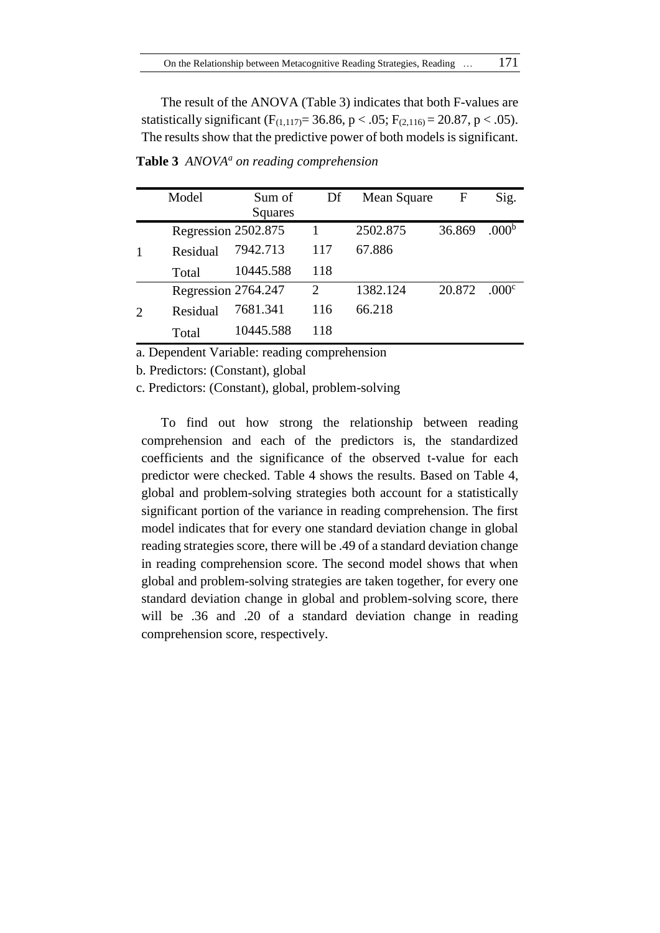The result of the ANOVA (Table 3) indicates that both F-values are statistically significant (F<sub>(1,117)</sub> = 36.86, p < .05; F<sub>(2,116)</sub> = 20.87, p < .05). The results show that the predictive power of both models is significant.

|                | Model               | Sum of<br>Squares | Df                          | Mean Square | F      | Sig.              |
|----------------|---------------------|-------------------|-----------------------------|-------------|--------|-------------------|
|                | Regression 2502.875 |                   |                             | 2502.875    | 36.869 | .000 <sup>b</sup> |
|                | Residual            | 7942.713          | 117                         | 67.886      |        |                   |
|                | Total               | 10445.588         | 118                         |             |        |                   |
|                | Regression 2764.247 |                   | $\mathcal{D}_{\mathcal{L}}$ | 1382.124    | 20.872 | .000 <sup>c</sup> |
| $\overline{c}$ | Residual            | 7681.341          | 116                         | 66.218      |        |                   |
|                | Total               | 10445.588         | 118                         |             |        |                   |

**Table 3** *ANOVA<sup>a</sup> on reading comprehension*

a. Dependent Variable: reading comprehension

b. Predictors: (Constant), global

c. Predictors: (Constant), global, problem-solving

To find out how strong the relationship between reading comprehension and each of the predictors is, the standardized coefficients and the significance of the observed t-value for each predictor were checked. Table 4 shows the results. Based on Table 4, global and problem-solving strategies both account for a statistically significant portion of the variance in reading comprehension. The first model indicates that for every one standard deviation change in global reading strategies score, there will be .49 of a standard deviation change in reading comprehension score. The second model shows that when global and problem-solving strategies are taken together, for every one standard deviation change in global and problem-solving score, there will be .36 and .20 of a standard deviation change in reading comprehension score, respectively.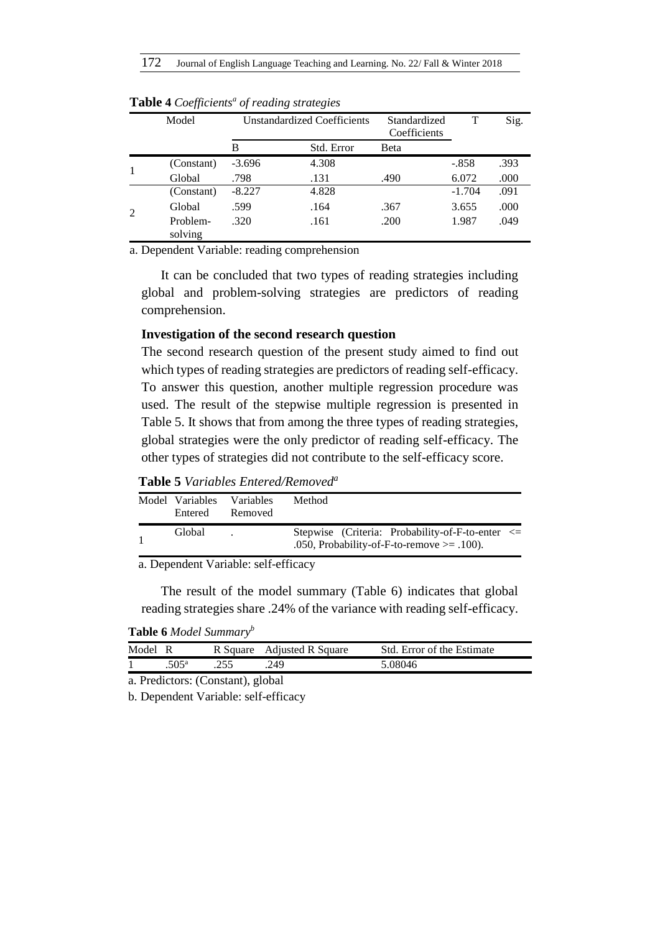| Model               |          | <b>Unstandardized Coefficients</b> | Standardized<br>Coefficients |          | Sig. |
|---------------------|----------|------------------------------------|------------------------------|----------|------|
|                     | В        | Std. Error                         | Beta                         |          |      |
| (Constant)          | $-3.696$ | 4.308                              |                              | $-.858$  | .393 |
| Global              | .798     | .131                               | .490                         | 6.072    | .000 |
| (Constant)          | $-8.227$ | 4.828                              |                              | $-1.704$ | .091 |
| Global              | .599     | .164                               | .367                         | 3.655    | .000 |
| Problem-<br>solving | .320     | .161                               | .200                         | 1.987    | .049 |

**Table 4** *Coefficients<sup>a</sup> of reading strategies*

a. Dependent Variable: reading comprehension

It can be concluded that two types of reading strategies including global and problem-solving strategies are predictors of reading comprehension.

### **Investigation of the second research question**

The second research question of the present study aimed to find out which types of reading strategies are predictors of reading self-efficacy. To answer this question, another multiple regression procedure was used. The result of the stepwise multiple regression is presented in Table 5. It shows that from among the three types of reading strategies, global strategies were the only predictor of reading self-efficacy. The other types of strategies did not contribute to the self-efficacy score.

**Table 5** *Variables Entered/Removed<sup>a</sup>*

| Model Variables<br>Entered | <b>Variables</b><br>Removed | Method                                                                                               |
|----------------------------|-----------------------------|------------------------------------------------------------------------------------------------------|
| Global                     |                             | Stepwise (Criteria: Probability-of-F-to-enter $\le$<br>.050, Probability-of-F-to-remove $\ge$ .100). |

a. Dependent Variable: self-efficacy

The result of the model summary (Table 6) indicates that global reading strategies share .24% of the variance with reading self-efficacy.

**Table 6** *Model Summary<sup>b</sup>*

| 755 | Model R |                  | R Square Adjusted R Square | Std. Error of the Estimate |  |
|-----|---------|------------------|----------------------------|----------------------------|--|
|     |         | 505 <sup>a</sup> | 249                        | 5.08046                    |  |

a. Predictors: (Constant), global

b. Dependent Variable: self-efficacy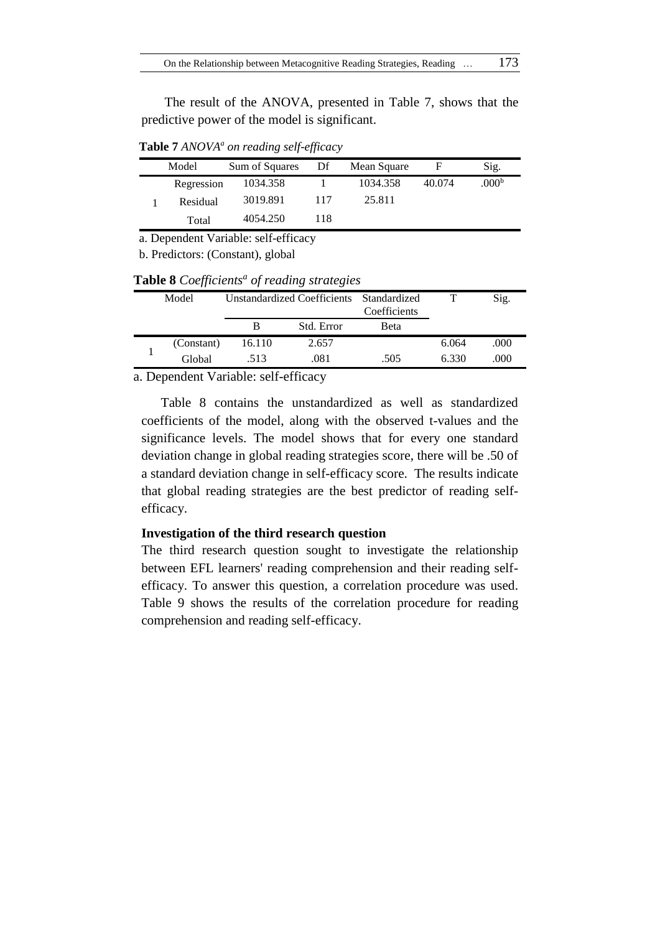The result of the ANOVA, presented in Table 7, shows that the predictive power of the model is significant.

**Table 7** *ANOVA<sup>a</sup> on reading self-efficacy*

| Model      | Sum of Squares | Df  | Mean Square |        | Sig.              |
|------------|----------------|-----|-------------|--------|-------------------|
| Regression | 1034.358       |     | 1034.358    | 40.074 | .000 <sup>b</sup> |
| Residual   | 3019.891       | 117 | 25.811      |        |                   |
| Total      | 4054.250       | 118 |             |        |                   |

a. Dependent Variable: self-efficacy

b. Predictors: (Constant), global

| Table 8 Coefficients <sup>a</sup> of reading strategies |  |  |
|---------------------------------------------------------|--|--|
|---------------------------------------------------------|--|--|

| Model      |        | Unstandardized Coefficients Standardized | Coefficients |       | Sig. |
|------------|--------|------------------------------------------|--------------|-------|------|
|            |        | Std. Error                               | Beta         |       |      |
| (Constant) | 16.110 | 2.657                                    |              | 6.064 | .000 |
| Global     | .513   | .081                                     | .505         | 6.330 | .000 |

a. Dependent Variable: self-efficacy

Table 8 contains the unstandardized as well as standardized coefficients of the model, along with the observed t-values and the significance levels. The model shows that for every one standard deviation change in global reading strategies score, there will be .50 of a standard deviation change in self-efficacy score. The results indicate that global reading strategies are the best predictor of reading selfefficacy.

### **Investigation of the third research question**

The third research question sought to investigate the relationship between EFL learners' reading comprehension and their reading selfefficacy. To answer this question, a correlation procedure was used. Table 9 shows the results of the correlation procedure for reading comprehension and reading self-efficacy.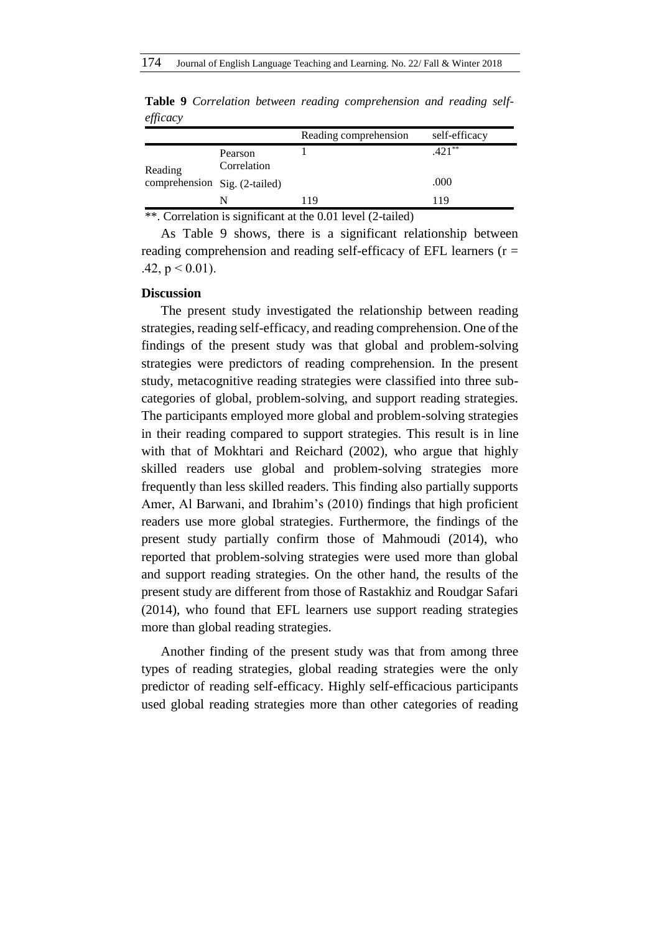|                               |                        | Reading comprehension | self-efficacy |
|-------------------------------|------------------------|-----------------------|---------------|
| Reading                       | Pearson<br>Correlation |                       | $.421**$      |
| comprehension Sig. (2-tailed) |                        |                       | .000          |
|                               | N                      | -19                   | 119           |

**Table 9** *Correlation between reading comprehension and reading selfefficacy*

\*\*. Correlation is significant at the 0.01 level (2-tailed)

As Table 9 shows, there is a significant relationship between reading comprehension and reading self-efficacy of EFL learners ( $r =$ .42,  $p < 0.01$ ).

### **Discussion**

The present study investigated the relationship between reading strategies, reading self-efficacy, and reading comprehension. One of the findings of the present study was that global and problem-solving strategies were predictors of reading comprehension. In the present study, metacognitive reading strategies were classified into three subcategories of global, problem-solving, and support reading strategies. The participants employed more global and problem-solving strategies in their reading compared to support strategies. This result is in line with that of Mokhtari and Reichard (2002), who argue that highly skilled readers use global and problem-solving strategies more frequently than less skilled readers. This finding also partially supports Amer, Al Barwani, and Ibrahim's (2010) findings that high proficient readers use more global strategies. Furthermore, the findings of the present study partially confirm those of Mahmoudi (2014), who reported that problem-solving strategies were used more than global and support reading strategies. On the other hand, the results of the present study are different from those of Rastakhiz and Roudgar Safari (2014), who found that EFL learners use support reading strategies more than global reading strategies.

Another finding of the present study was that from among three types of reading strategies, global reading strategies were the only predictor of reading self-efficacy. Highly self-efficacious participants used global reading strategies more than other categories of reading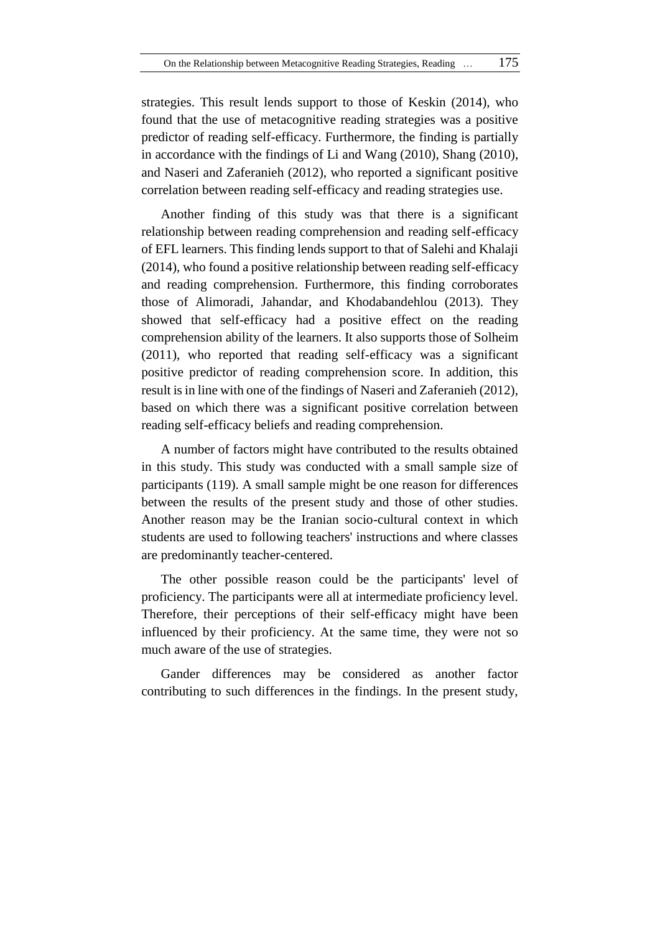strategies. This result lends support to those of Keskin (2014), who found that the use of metacognitive reading strategies was a positive predictor of reading self-efficacy. Furthermore, the finding is partially in accordance with the findings of Li and Wang (2010), Shang (2010), and Naseri and Zaferanieh (2012), who reported a significant positive correlation between reading self-efficacy and reading strategies use.

Another finding of this study was that there is a significant relationship between reading comprehension and reading self-efficacy of EFL learners. This finding lends support to that of Salehi and Khalaji (2014), who found a positive relationship between reading self-efficacy and reading comprehension. Furthermore, this finding corroborates those of Alimoradi, Jahandar, and Khodabandehlou (2013). They showed that self-efficacy had a positive effect on the reading comprehension ability of the learners. It also supports those of Solheim (2011), who reported that reading self-efficacy was a significant positive predictor of reading comprehension score. In addition, this result is in line with one of the findings of Naseri and Zaferanieh (2012), based on which there was a significant positive correlation between reading self-efficacy beliefs and reading comprehension.

A number of factors might have contributed to the results obtained in this study. This study was conducted with a small sample size of participants (119). A small sample might be one reason for differences between the results of the present study and those of other studies. Another reason may be the Iranian socio-cultural context in which students are used to following teachers' instructions and where classes are predominantly teacher-centered.

The other possible reason could be the participants' level of proficiency. The participants were all at intermediate proficiency level. Therefore, their perceptions of their self-efficacy might have been influenced by their proficiency. At the same time, they were not so much aware of the use of strategies.

Gander differences may be considered as another factor contributing to such differences in the findings. In the present study,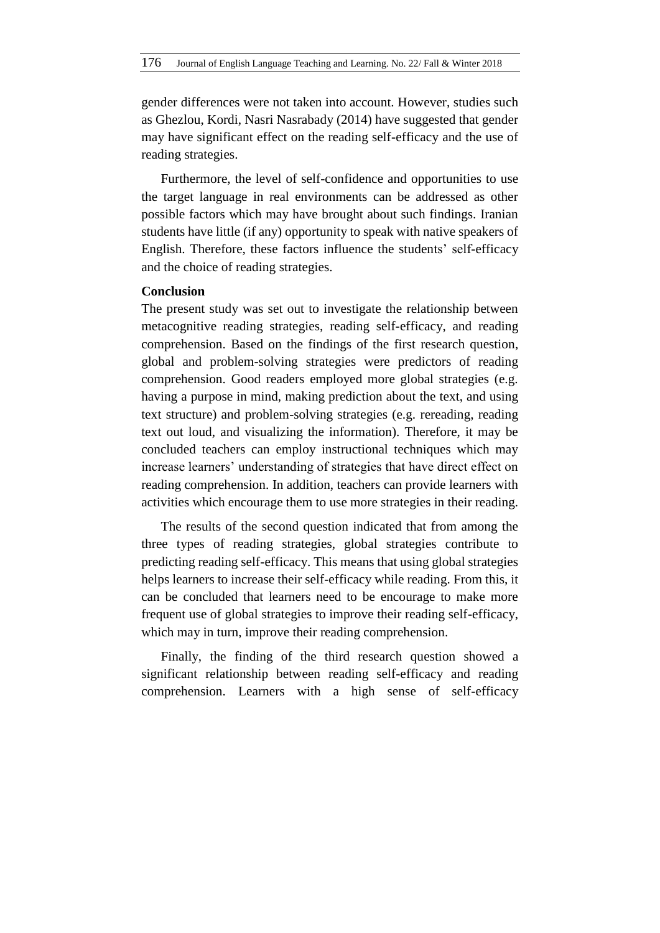gender differences were not taken into account. However, studies such as Ghezlou, Kordi, Nasri Nasrabady (2014) have suggested that gender may have significant effect on the reading self-efficacy and the use of reading strategies.

Furthermore, the level of self-confidence and opportunities to use the target language in real environments can be addressed as other possible factors which may have brought about such findings. Iranian students have little (if any) opportunity to speak with native speakers of English. Therefore, these factors influence the students' self-efficacy and the choice of reading strategies.

### **Conclusion**

The present study was set out to investigate the relationship between metacognitive reading strategies, reading self-efficacy, and reading comprehension. Based on the findings of the first research question, global and problem-solving strategies were predictors of reading comprehension. Good readers employed more global strategies (e.g. having a purpose in mind, making prediction about the text, and using text structure) and problem-solving strategies (e.g. rereading, reading text out loud, and visualizing the information). Therefore, it may be concluded teachers can employ instructional techniques which may increase learners' understanding of strategies that have direct effect on reading comprehension. In addition, teachers can provide learners with activities which encourage them to use more strategies in their reading.

The results of the second question indicated that from among the three types of reading strategies, global strategies contribute to predicting reading self-efficacy. This means that using global strategies helps learners to increase their self-efficacy while reading. From this, it can be concluded that learners need to be encourage to make more frequent use of global strategies to improve their reading self-efficacy, which may in turn, improve their reading comprehension.

Finally, the finding of the third research question showed a significant relationship between reading self-efficacy and reading comprehension. Learners with a high sense of self-efficacy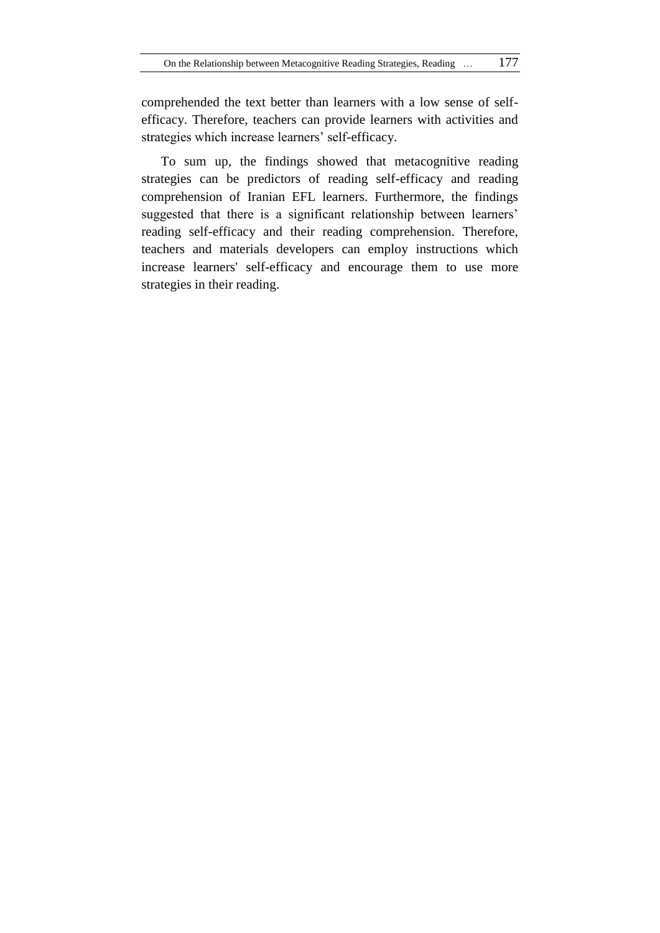comprehended the text better than learners with a low sense of selfefficacy. Therefore, teachers can provide learners with activities and strategies which increase learners' self-efficacy.

To sum up, the findings showed that metacognitive reading strategies can be predictors of reading self-efficacy and reading comprehension of Iranian EFL learners. Furthermore, the findings suggested that there is a significant relationship between learners' reading self-efficacy and their reading comprehension. Therefore, teachers and materials developers can employ instructions which increase learners' self-efficacy and encourage them to use more strategies in their reading.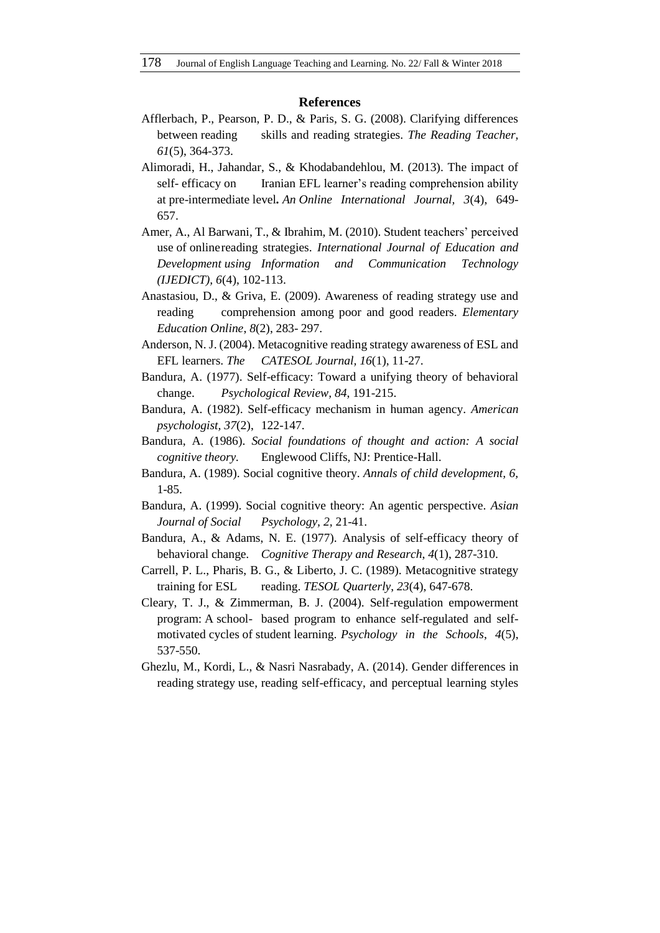#### **References**

- Afflerbach, P., Pearson, P. D., & Paris, S. G. (2008). Clarifying differences between reading skills and reading strategies. *The Reading Teacher, 61*(5), 364-373.
- Alimoradi, H., Jahandar, S., & Khodabandehlou, M. (2013). The impact of self- efficacy on Iranian EFL learner's reading comprehension ability at pre-intermediate level*. An Online International Journal, 3*(4), 649- 657.
- Amer, A., Al Barwani, T., & Ibrahim, M. (2010). Student teachers' perceived use of onlinereading strategies. *International Journal of Education and Development using Information and Communication Technology (IJEDICT), 6*(4), 102-113.
- Anastasiou, D., & Griva, E. (2009). Awareness of reading strategy use and reading comprehension among poor and good readers. *Elementary Education Online*, *8*(2), 283- 297.
- Anderson, N. J. (2004). Metacognitive reading strategy awareness of ESL and EFL learners. *The CATESOL Journal, 16*(1), 11-27.
- Bandura, A. (1977). Self-efficacy: Toward a unifying theory of behavioral change. *Psychological Review, 84*, 191-215.
- Bandura, A. (1982). Self-efficacy mechanism in human agency. *American psychologist, 37*(2), 122-147.
- Bandura, A. (1986). *Social foundations of thought and action: A social cognitive theory.* Englewood Cliffs, NJ: Prentice-Hall.
- Bandura, A. (1989). Social cognitive theory. *Annals of child development, 6,*  1-85.
- Bandura, A. (1999). Social cognitive theory: An agentic perspective. *Asian Journal of Social Psychology, 2,* 21-41.
- Bandura, A., & Adams, N. E. (1977). Analysis of self-efficacy theory of behavioral change*. Cognitive Therapy and Research*, *4*(1), 287-310.
- Carrell, P. L., Pharis, B. G., & Liberto, J. C. (1989). Metacognitive strategy training for ESL reading. *TESOL Quarterly*, *23*(4), 647-678.
- Cleary, T. J., & Zimmerman, B. J. (2004). Self-regulation empowerment program: A school- based program to enhance self-regulated and selfmotivated cycles of student learning. *Psychology in the Schools*, *4*(5), 537-550.
- Ghezlu, M., Kordi, L., & Nasri Nasrabady, A. (2014). Gender differences in reading strategy use, reading self-efficacy, and perceptual learning styles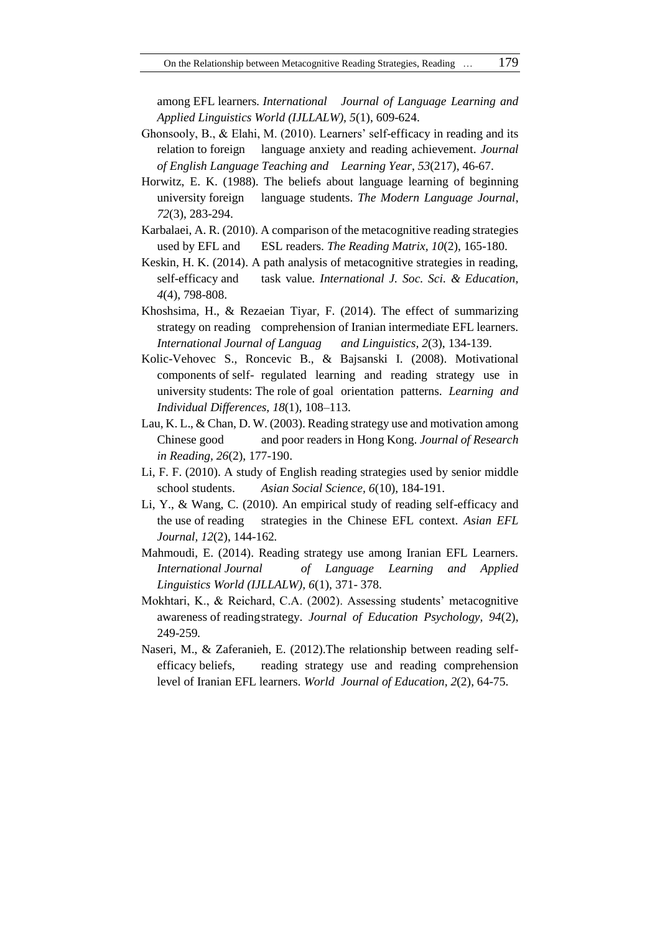among EFL learners*. International Journal of Language Learning and Applied Linguistics World (IJLLALW), 5*(1), 609-624.

- Ghonsooly, B., & Elahi, M. (2010). Learners' self-efficacy in reading and its relation to foreign language anxiety and reading achievement. *Journal of English Language Teaching and Learning Year*, *53*(217), 46-67.
- Horwitz, E. K. (1988). The beliefs about language learning of beginning university foreign language students. *The Modern Language Journal*, *72*(3), 283-294.
- Karbalaei, A. R. (2010). A comparison of the metacognitive reading strategies used by EFL and ESL readers. *The Reading Matrix, 10*(2), 165-180.
- Keskin, H. K. (2014). A path analysis of metacognitive strategies in reading, self-efficacy and task value*. International J. Soc. Sci. & Education, 4*(4), 798-808.
- Khoshsima, H., & Rezaeian Tiyar, F. (2014). The effect of summarizing strategy on reading comprehension of Iranian intermediate EFL learners. *International Journal of Languag and Linguistics, 2*(3), 134-139.
- Kolic-Vehovec S., Roncevic B., & Bajsanski I. (2008). Motivational components of self- regulated learning and reading strategy use in university students: The role of goal orientation patterns. *Learning and Individual Differences, 18*(1), 108–113.
- Lau, K. L., & Chan, D. W. (2003). Reading strategy use and motivation among Chinese good and poor readers in Hong Kong. *Journal of Research in Reading, 26*(2), 177-190.
- Li, F. F. (2010). A study of English reading strategies used by senior middle school students. *Asian Social Science, 6*(10), 184-191.
- Li, Y., & Wang, C. (2010). An empirical study of reading self-efficacy and the use of reading strategies in the Chinese EFL context. *Asian EFL Journal, 12*(2), 144-162*.*
- Mahmoudi, E. (2014). Reading strategy use among Iranian EFL Learners. *International Journal of Language Learning and Applied Linguistics World (IJLLALW), 6*(1), 371- 378.
- Mokhtari, K., & Reichard, C.A. (2002). Assessing students' metacognitive awareness of readingstrategy. *Journal of Education Psychology, 94*(2), 249-259*.*
- Naseri, M., & Zaferanieh, E. (2012).The relationship between reading selfefficacy beliefs, reading strategy use and reading comprehension level of Iranian EFL learners. *World Journal of Education, 2*(2), 64-75.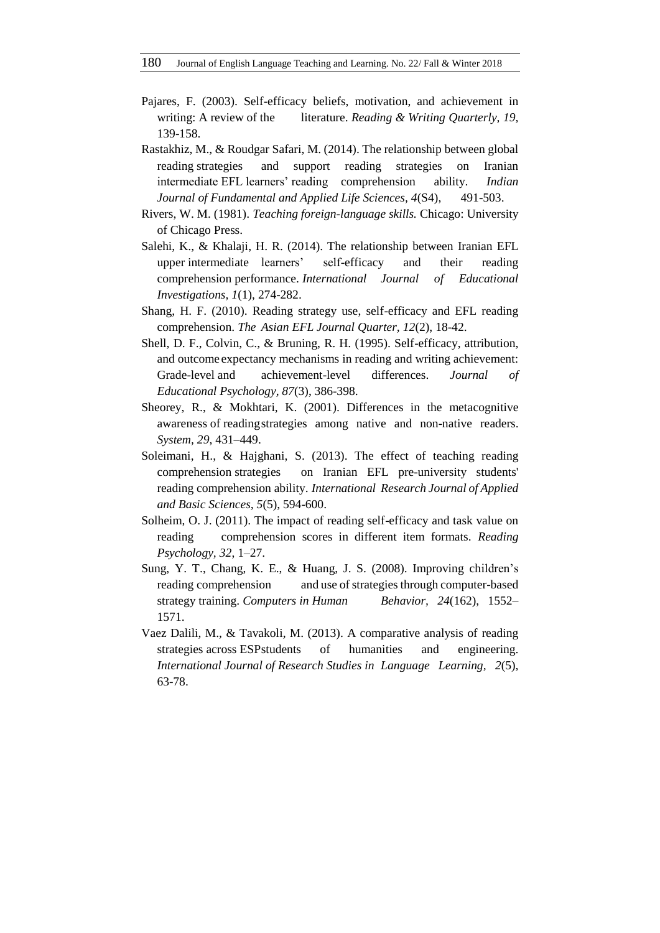- Pajares, F. (2003). Self-efficacy beliefs, motivation, and achievement in writing: A review of the literature. *Reading & Writing Quarterly, 19,* 139-158.
- Rastakhiz, M., & Roudgar Safari, M. (2014). The relationship between global reading strategies and support reading strategies on Iranian intermediate EFL learners' reading comprehension ability. *Indian Journal of Fundamental and Applied Life Sciences, 4*(S4), 491-503.
- Rivers, W. M. (1981). *Teaching foreign-language skills.* Chicago: University of Chicago Press.
- Salehi, K., & Khalaji, H. R. (2014). The relationship between Iranian EFL upper intermediate learners' self-efficacy and their reading comprehension performance. *International Journal of Educational Investigations, 1*(1), 274-282.
- Shang, H. F. (2010). Reading strategy use, self-efficacy and EFL reading comprehension. *The Asian EFL Journal Quarter, 12*(2), 18-42.
- Shell, D. F., Colvin, C., & Bruning, R. H. (1995). Self-efficacy, attribution, and outcome expectancy mechanisms in reading and writing achievement: Grade-level and achievement-level differences. *Journal of Educational Psychology, 87*(3), 386-398.
- Sheorey, R., & Mokhtari, K. (2001). Differences in the metacognitive awareness of readingstrategies among native and non-native readers. *System, 29*, 431–449.
- Soleimani, H., & Hajghani, S. (2013). The effect of teaching reading comprehension strategies on Iranian EFL pre-university students' reading comprehension ability. *International Research Journal of Applied and Basic Sciences, 5*(5), 594-600.
- Solheim, O. J. (2011). The impact of reading self-efficacy and task value on reading comprehension scores in different item formats. *Reading Psychology, 32*, 1–27.
- Sung, Y. T., Chang, K. E., & Huang, J. S. (2008). Improving children's reading comprehension and use of strategies through computer-based strategy training. *Computers in Human Behavior, 24*(162), 1552– 1571.
- Vaez Dalili, M., & Tavakoli, M. (2013). A comparative analysis of reading strategies across ESPstudents of humanities and engineering. *International Journal of Research Studies in Language Learning, 2*(5), 63-78.